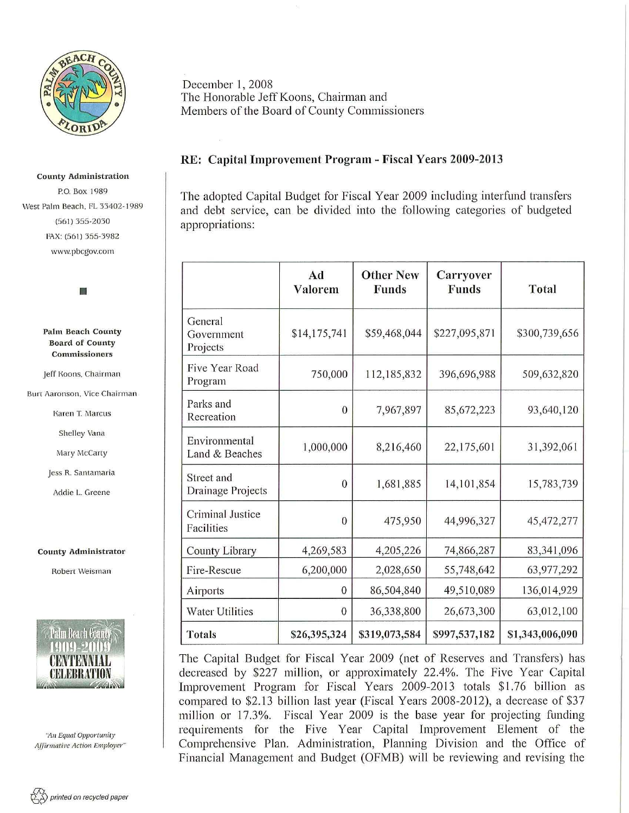

#### County Administration

P.O. Box 1989 West Palm Beach, FL 33402-1989 (561) 355-2030 FAX: (561) 355-3982 www. pbcgov.com



#### Palm Beach County Board of County Commissioners

Jeff Koons, Chairman

Burt Aaronson. Vice Chairman

Karen T. Marcus

Shelley Vana

Mary McCarty

Jess R. Santamaria

Addie L. Greene

### County Administrator

Robert Weisman



*':-In Equal Opporrunity Affirmative Act ion Employer"* 

# RE: Capital Improvement Program- Fiscal Years 2009-2013

The adopted Capital Budget for Fiscal Year 2009 including interfund transfers and debt service, can be divided into the following categories of budgeted appropriations:

|                                   | Ad<br>Valorem  | <b>Other New</b><br><b>Funds</b> | Carryover<br><b>Funds</b> | Total           |
|-----------------------------------|----------------|----------------------------------|---------------------------|-----------------|
| General<br>Government<br>Projects | \$14,175,741   | \$59,468,044                     | \$227,095,871             | \$300,739,656   |
| Five Year Road<br>Program         | 750,000        | 112,185,832                      | 396,696,988               | 509,632,820     |
| Parks and<br>Recreation           | $\Omega$       | 7,967,897                        | 85,672,223                | 93,640,120      |
| Environmental<br>Land & Beaches   | 1,000,000      | 8,216,460                        | 22,175,601                | 31,392,061      |
| Street and<br>Drainage Projects   | $\overline{0}$ | 1,681,885                        | 14,101,854                | 15,783,739      |
| Criminal Justice<br>Facilities    | $\mathbf{0}$   | 475,950                          | 44,996,327                | 45, 472, 277    |
| County Library                    | 4,269,583      | 4,205,226                        | 74,866,287                | 83,341,096      |
| Fire-Rescue                       | 6,200,000      | 2,028,650                        | 55,748,642                | 63,977,292      |
| Airports                          | $\mathbf{0}$   | 86,504,840                       | 49,510,089                | 136,014,929     |
| <b>Water Utilities</b>            | $\mathbf{0}$   | 36,338,800                       | 26,673,300                | 63,012,100      |
| <b>Totals</b>                     | \$26,395,324   | \$319,073,584                    | \$997,537,182             | \$1,343,006,090 |

The Capital Budget for Fiscal Year 2009 (net of Reserves and Transfers) has decreased by \$227 million, or approximately 22.4%. The Five Year Capital Improvement Program for Fiscal Years 2009-2013 totals \$1.76 billion as compared to \$2.13 billion last year (Fiscal Years 2008-2012), a decrease of \$37 million or 17.3%. Fiscal Year 2009 is the base year for projecting funding requirements for the Five Year Capital Improvement Element of the Comprehensive Plan. Administration, Planning Division and the Office of Financial Management and Budget (OFMB) will be reviewing and revising the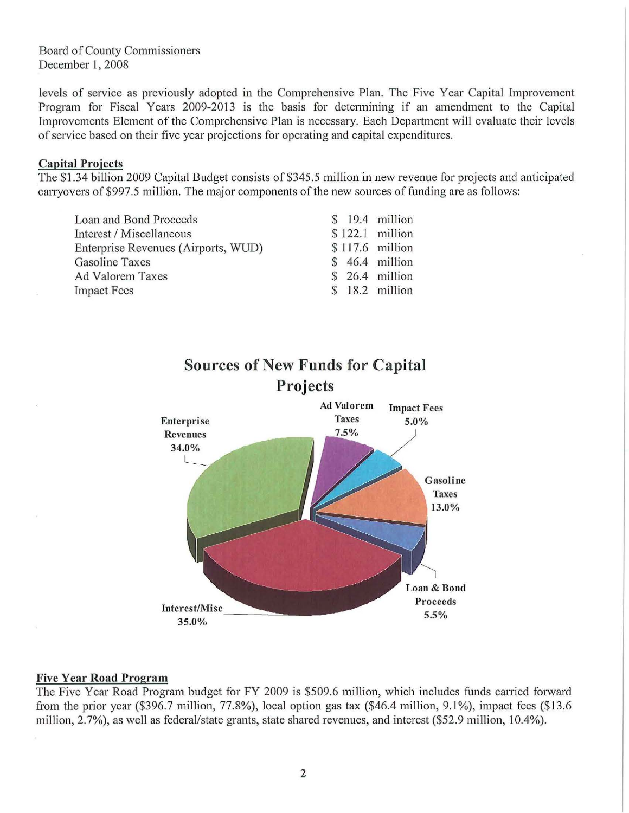Board of County Commissioners December 1, 2008

levels of service as previously adopted in the Comprehensive Plan. The Five Year Capital Improvement Program for Fiscal Years 2009-2013 is the basis for determining if an amendment to the Capital Improvements Element of the Comprehensive Plan is necessary. Each Department will evaluate their levels of service based on their five year projections for operating and capital expenditures.

### Capital Projects

The \$1.34 billion 2009 Capital Budget consists of \$345.5 million in new revenue for projects and anticipated carryovers of \$997.5 million. The major components of the new sources of funding are as follows:

| Loan and Bond Proceeds              |  | \$ 19.4 million  |
|-------------------------------------|--|------------------|
| Interest / Miscellaneous            |  | $$122.1$ million |
| Enterprise Revenues (Airports, WUD) |  | \$117.6 million  |
| Gasoline Taxes                      |  | \$ 46.4 million  |
| <b>Ad Valorem Taxes</b>             |  | \$ 26.4 million  |
| <b>Impact Fees</b>                  |  | \$ 18.2 million  |



### Five Year Road Program

The Five Year Road Program budget for FY 2009 is \$509.6 million, which includes funds carried forward from the prior year (\$396.7 million,  $77.8\%$ ), local option gas tax (\$46.4 million,  $9.1\%$ ), impact fees (\$13.6) million, 2.7%), as well as federal/state grants, state shared revenues, and interest (\$52.9 million, 10.4%).